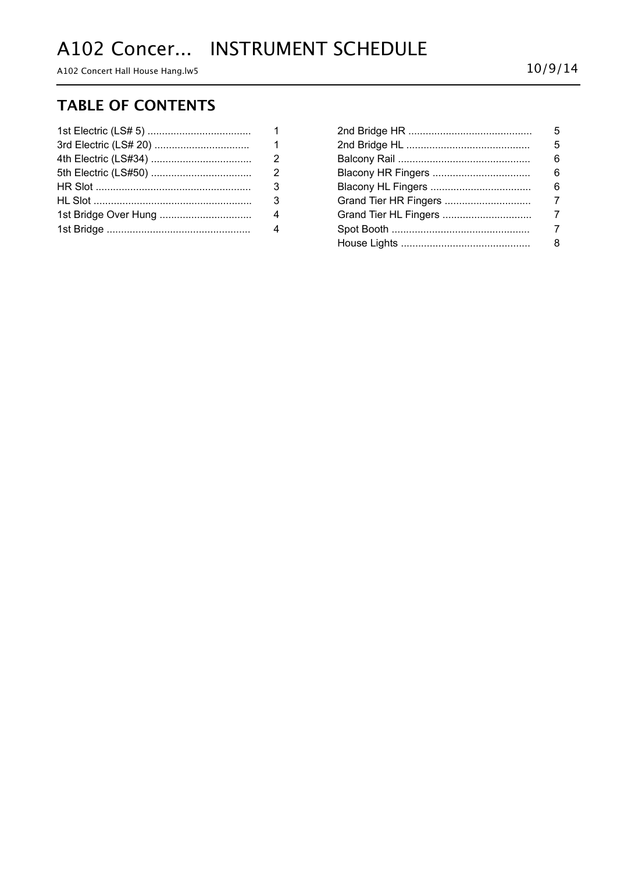# A102 Concer... INSTRUMENT SCHEDULE

A102 Concert Hall House Hang.lw5 10/9/14

### **TABLE OF CONTENTS**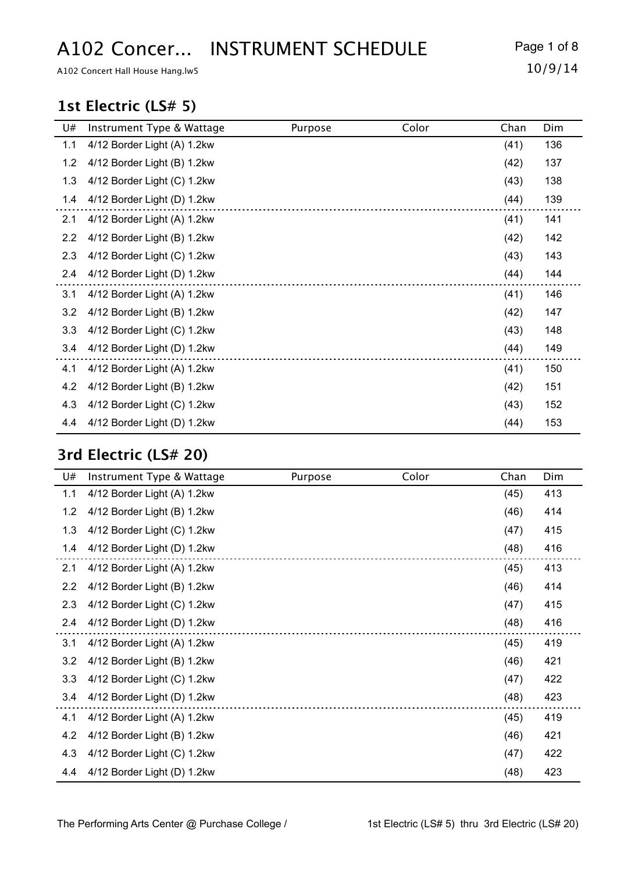# A102 Concer... INSTRUMENT SCHEDULE Page 1 of 8

A102 Concert Hall House Hang.lw5 10/9/14

#### **1st Electric (LS# 5)**

| U#  | Instrument Type & Wattage   | Purpose | Color | Chan | Dim |
|-----|-----------------------------|---------|-------|------|-----|
| 1.1 | 4/12 Border Light (A) 1.2kw |         |       | (41) | 136 |
| 1.2 | 4/12 Border Light (B) 1.2kw |         |       | (42) | 137 |
| 1.3 | 4/12 Border Light (C) 1.2kw |         |       | (43) | 138 |
| 1.4 | 4/12 Border Light (D) 1.2kw |         |       | (44) | 139 |
| 2.1 | 4/12 Border Light (A) 1.2kw |         |       | (41) | 141 |
| 2.2 | 4/12 Border Light (B) 1.2kw |         |       | (42) | 142 |
| 2.3 | 4/12 Border Light (C) 1.2kw |         |       | (43) | 143 |
| 2.4 | 4/12 Border Light (D) 1.2kw |         |       | (44) | 144 |
| 3.1 | 4/12 Border Light (A) 1.2kw |         |       | (41) | 146 |
| 3.2 | 4/12 Border Light (B) 1.2kw |         |       | (42) | 147 |
| 3.3 | 4/12 Border Light (C) 1.2kw |         |       | (43) | 148 |
| 3.4 | 4/12 Border Light (D) 1.2kw |         |       | (44) | 149 |
| 4.1 | 4/12 Border Light (A) 1.2kw |         |       | (41) | 150 |
| 4.2 | 4/12 Border Light (B) 1.2kw |         |       | (42) | 151 |
| 4.3 | 4/12 Border Light (C) 1.2kw |         |       | (43) | 152 |
| 4.4 | 4/12 Border Light (D) 1.2kw |         |       | (44) | 153 |

### **3rd Electric (LS# 20)**

| U#  | Instrument Type & Wattage   | Purpose | Color | Chan | Dim |
|-----|-----------------------------|---------|-------|------|-----|
| 1.1 | 4/12 Border Light (A) 1.2kw |         |       | (45) | 413 |
| 1.2 | 4/12 Border Light (B) 1.2kw |         |       | (46) | 414 |
| 1.3 | 4/12 Border Light (C) 1.2kw |         |       | (47) | 415 |
| 1.4 | 4/12 Border Light (D) 1.2kw |         |       | (48) | 416 |
| 2.1 | 4/12 Border Light (A) 1.2kw |         |       | (45) | 413 |
| 2.2 | 4/12 Border Light (B) 1.2kw |         |       | (46) | 414 |
| 2.3 | 4/12 Border Light (C) 1.2kw |         |       | (47) | 415 |
| 2.4 | 4/12 Border Light (D) 1.2kw |         |       | (48) | 416 |
| 3.1 | 4/12 Border Light (A) 1.2kw |         |       | (45) | 419 |
| 3.2 | 4/12 Border Light (B) 1.2kw |         |       | (46) | 421 |
| 3.3 | 4/12 Border Light (C) 1.2kw |         |       | (47) | 422 |
| 3.4 | 4/12 Border Light (D) 1.2kw |         |       | (48) | 423 |
| 4.1 | 4/12 Border Light (A) 1.2kw |         |       | (45) | 419 |
| 4.2 | 4/12 Border Light (B) 1.2kw |         |       | (46) | 421 |
| 4.3 | 4/12 Border Light (C) 1.2kw |         |       | (47) | 422 |
| 4.4 | 4/12 Border Light (D) 1.2kw |         |       | (48) | 423 |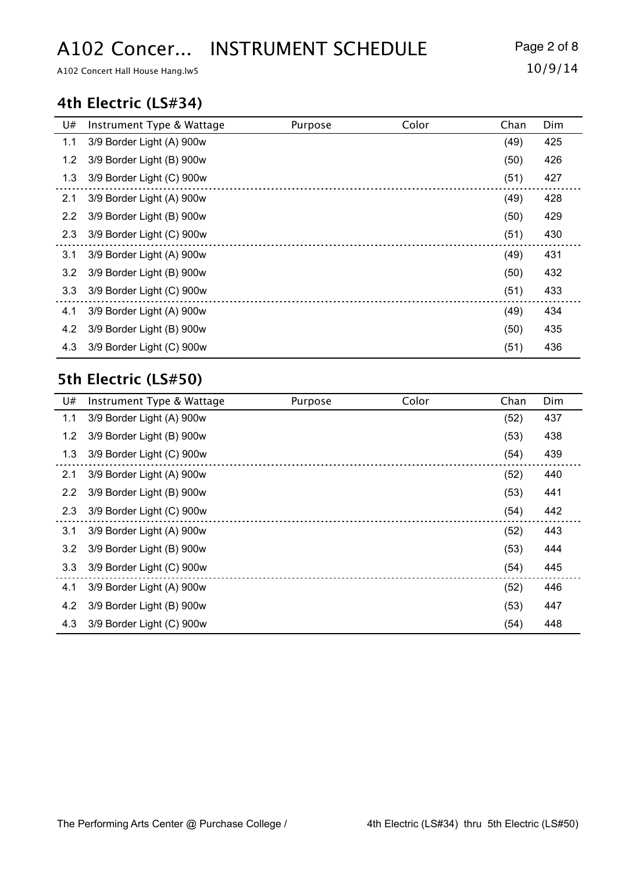# A102 Concer... INSTRUMENT SCHEDULE Page 2 of 8

A102 Concert Hall House Hang.lw5 10/9/14

#### **4th Electric (LS#34)**

| U#  | Instrument Type & Wattage | Purpose | Color | Chan | Dim |
|-----|---------------------------|---------|-------|------|-----|
| 1.1 | 3/9 Border Light (A) 900w |         |       | (49) | 425 |
| 1.2 | 3/9 Border Light (B) 900w |         |       | (50) | 426 |
| 1.3 | 3/9 Border Light (C) 900w |         |       | (51) | 427 |
| 2.1 | 3/9 Border Light (A) 900w |         |       | (49) | 428 |
| 2.2 | 3/9 Border Light (B) 900w |         |       | (50) | 429 |
| 2.3 | 3/9 Border Light (C) 900w |         |       | (51) | 430 |
| 3.1 | 3/9 Border Light (A) 900w |         |       | (49) | 431 |
| 3.2 | 3/9 Border Light (B) 900w |         |       | (50) | 432 |
| 3.3 | 3/9 Border Light (C) 900w |         |       | (51) | 433 |
| 4.1 | 3/9 Border Light (A) 900w |         |       | (49) | 434 |
| 4.2 | 3/9 Border Light (B) 900w |         |       | (50) | 435 |
| 4.3 | 3/9 Border Light (C) 900w |         |       | (51) | 436 |

### **5th Electric (LS#50)**

| U#            | Instrument Type & Wattage | Purpose | Color | Chan | Dim |
|---------------|---------------------------|---------|-------|------|-----|
| 1.1           | 3/9 Border Light (A) 900w |         |       | (52) | 437 |
| 1.2           | 3/9 Border Light (B) 900w |         |       | (53) | 438 |
| 1.3           | 3/9 Border Light (C) 900w |         |       | (54) | 439 |
| 2.1           | 3/9 Border Light (A) 900w |         |       | (52) | 440 |
| 2.2           | 3/9 Border Light (B) 900w |         |       | (53) | 441 |
| 2.3           | 3/9 Border Light (C) 900w |         |       | (54) | 442 |
| 3.1           | 3/9 Border Light (A) 900w |         |       | (52) | 443 |
| $3.2^{\circ}$ | 3/9 Border Light (B) 900w |         |       | (53) | 444 |
| 3.3           | 3/9 Border Light (C) 900w |         |       | (54) | 445 |
| 4.1           | 3/9 Border Light (A) 900w |         |       | (52) | 446 |
| 4.2           | 3/9 Border Light (B) 900w |         |       | (53) | 447 |
| 4.3           | 3/9 Border Light (C) 900w |         |       | (54) | 448 |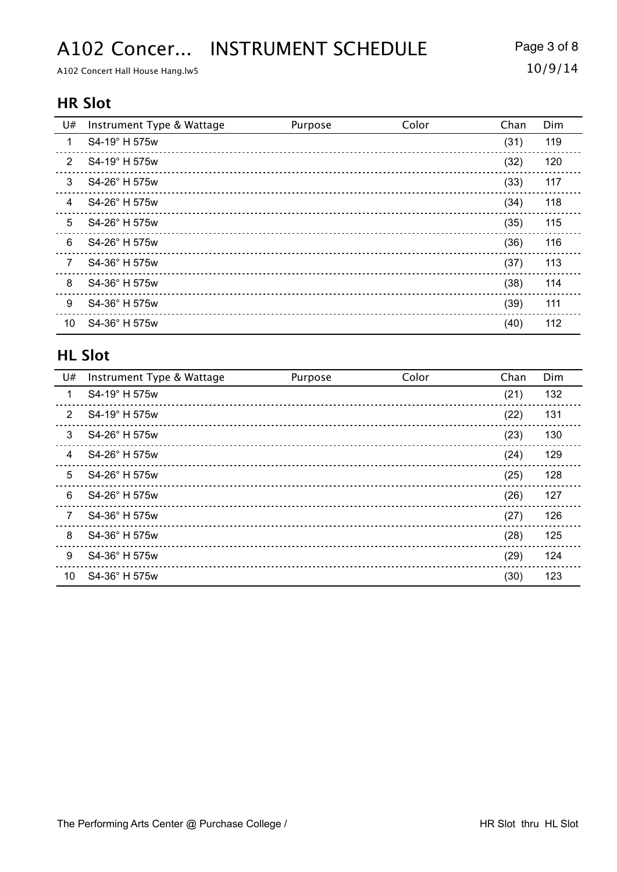## A102 Concer... INSTRUMENT SCHEDULE Page 3 of 8

A102 Concert Hall House Hang.lw5 10/9/14

#### **HR Slot**

| U# | Instrument Type & Wattage | Purpose | Color | Chan | Dim |
|----|---------------------------|---------|-------|------|-----|
| 1  | S4-19° H 575w             |         |       | (31) | 119 |
| 2  | S4-19° H 575w             |         |       | (32) | 120 |
| 3  | S4-26° H 575w             |         |       | (33) | 117 |
| 4  | S4-26° H 575w             |         |       | (34) | 118 |
| 5  | S4-26° H 575w             |         |       | (35) | 115 |
| 6  | S4-26° H 575w             |         |       | (36) | 116 |
| 7  | S4-36° H 575w             |         |       | (37) | 113 |
| 8  | S4-36° H 575w             |         |       | (38) | 114 |
| 9  | S4-36° H 575w             |         |       | (39) | 111 |
| 10 | S4-36° H 575w             |         |       | (40) | 112 |

#### **HL Slot**

| U#            | Instrument Type & Wattage | Purpose | Color | Chan | Dim |
|---------------|---------------------------|---------|-------|------|-----|
| 1             | S4-19° H 575w             |         |       | (21) | 132 |
| $\mathcal{P}$ | S4-19° H 575w             |         |       | (22) | 131 |
| 3             | S4-26° H 575w             |         |       | (23) | 130 |
| 4             | S4-26° H 575w             |         |       | (24) | 129 |
| 5             | S4-26° H 575w             |         |       | (25) | 128 |
| 6             | S4-26° H 575w             |         |       | (26) | 127 |
| 7             | S4-36° H 575w             |         |       | (27) | 126 |
| 8             | S4-36° H 575w             |         |       | (28) | 125 |
| 9             | S4-36° H 575w             |         |       | (29) | 124 |
| 10            | S4-36° H 575w             |         |       | (30) | 123 |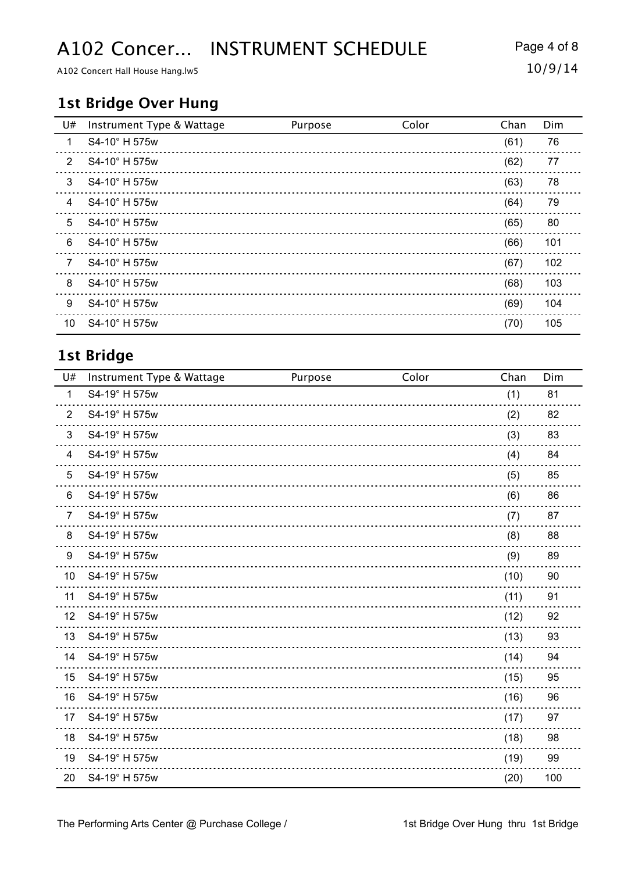## A102 Concer... INSTRUMENT SCHEDULE Page 4 of 8

A102 Concert Hall House Hang.lw5 10/9/14

#### **1st Bridge Over Hung**

| U#             | Instrument Type & Wattage | Purpose | Color | Chan | Dim |
|----------------|---------------------------|---------|-------|------|-----|
| $\mathbf{1}$   | S4-10° H 575w             |         |       | (61) | 76  |
| $\overline{2}$ | S4-10° H 575w             |         |       | (62) | 77  |
| 3              | S4-10° H 575w             |         |       | (63) | 78  |
| $\overline{4}$ | S4-10° H 575w             |         |       | (64) | 79  |
| 5              | S4-10° H 575w             |         |       | (65) | 80  |
| 6              | S4-10° H 575w             |         |       | (66) | 101 |
| $\overline{7}$ | S4-10° H 575w             |         |       | (67) | 102 |
| 8              | S4-10° H 575w             |         |       | (68) | 103 |
| 9              | S4-10° H 575w             |         |       | (69) | 104 |
| 10             | S4-10° H 575w             |         |       | (70) | 105 |

### **1st Bridge**

| U#             | Instrument Type & Wattage | Purpose | Color | Chan | Dim |
|----------------|---------------------------|---------|-------|------|-----|
| $\mathbf{1}$   | S4-19° H 575w             |         |       | (1)  | 81  |
| $\overline{2}$ | S4-19° H 575w             |         |       | (2)  | 82  |
| 3              | S4-19° H 575w             |         |       | (3)  | 83  |
| 4              | S4-19° H 575w             |         |       | (4)  | 84  |
| 5              | S4-19° H 575w             |         |       | (5)  | 85  |
| 6              | S4-19° H 575w             |         |       | (6)  | 86  |
| $\overline{7}$ | S4-19° H 575w             |         |       | (7)  | 87  |
| 8              | S4-19° H 575w             |         |       | (8)  | 88  |
| 9              | S4-19° H 575w             |         |       | (9)  | 89  |
| 10             | S4-19° H 575w             |         |       | (10) | 90  |
| 11             | S4-19° H 575w             |         |       | (11) | 91  |
| 12             | S4-19° H 575w             |         |       | (12) | 92  |
| 13             | S4-19° H 575w             |         |       | (13) | 93  |
| 14             | S4-19° H 575w             |         |       | (14) | 94  |
| 15             | S4-19° H 575w             |         |       | (15) | 95  |
| 16             | S4-19° H 575w             |         |       | (16) | 96  |
| 17             | S4-19° H 575w             |         |       | (17) | 97  |
| 18             | S4-19° H 575w             |         |       | (18) | 98  |
| 19             | S4-19° H 575w             |         |       | (19) | 99  |
| 20             | S4-19° H 575w             |         |       | (20) | 100 |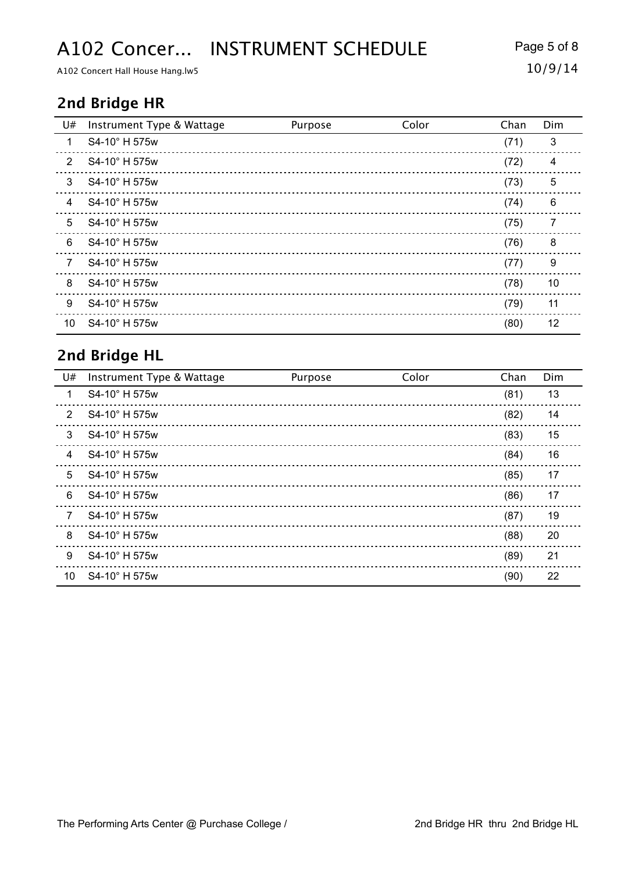## A102 Concer... INSTRUMENT SCHEDULE Page 5 of 8

A102 Concert Hall House Hang.lw5 10/9/14

### **2nd Bridge HR**

| U#             | Instrument Type & Wattage | Purpose | Color | Chan | Dim |
|----------------|---------------------------|---------|-------|------|-----|
| 1              | S4-10° H 575w             |         |       | (71) | 3   |
| $\overline{2}$ | S4-10° H 575w             |         |       | (72) | 4   |
| 3              | S4-10° H 575w             |         |       | (73) | 5   |
| $\overline{4}$ | S4-10° H 575w             |         |       | (74) | 6   |
| 5              | S4-10° H 575w             |         |       | (75) | 7   |
| 6              | S4-10° H 575w             |         |       | (76) | 8   |
| 7              | S4-10° H 575w             |         |       | (77) | 9   |
| 8              | S4-10° H 575w             |         |       | (78) | 10  |
| 9              | S4-10° H 575w             |         |       | (79) | 11  |
| 10             | S4-10° H 575w             |         |       | (80) | 12  |

### **2nd Bridge HL**

| U#             | Instrument Type & Wattage | Purpose | Color | Chan | Dim |
|----------------|---------------------------|---------|-------|------|-----|
| 1              | S4-10° H 575w             |         |       | (81) | 13  |
| $\mathfrak{p}$ | S4-10° H 575w             |         |       | (82) | 14  |
| 3              | S4-10° H 575w             |         |       | (83) | 15  |
| $\overline{4}$ | S4-10° H 575w             |         |       | (84) | 16  |
| 5              | S4-10° H 575w             |         |       | (85) | 17  |
| 6              | S4-10° H 575w             |         |       | (86) | 17  |
| 7              | S4-10° H 575w             |         |       | (87) | 19  |
| 8              | S4-10° H 575w             |         |       | (88) | 20  |
| 9              | S4-10° H 575w             |         |       | (89) | 21  |
| 10             | S4-10° H 575w             |         |       | (90) | 22  |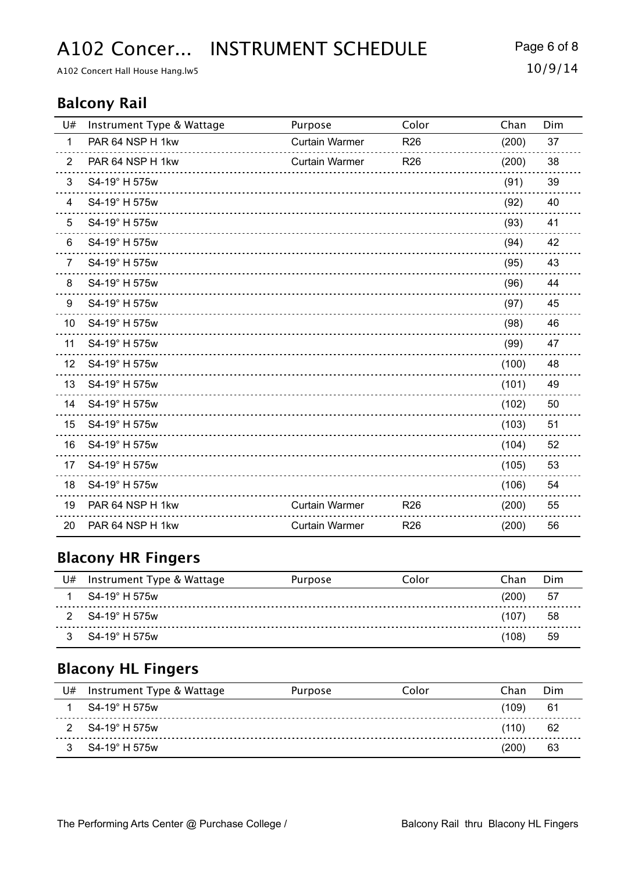A102 Concer... INSTRUMENT SCHEDULE Page 6 of 8

A102 Concert Hall House Hang.lw5 10/9/14

#### **Balcony Rail**

| U#             | Instrument Type & Wattage | Purpose               | Color           | Chan  | Dim |
|----------------|---------------------------|-----------------------|-----------------|-------|-----|
| $\mathbf{1}$   | PAR 64 NSP H 1kw          | <b>Curtain Warmer</b> | R <sub>26</sub> | (200) | 37  |
| $\overline{2}$ | PAR 64 NSP H 1kw          | <b>Curtain Warmer</b> | R <sub>26</sub> | (200) | 38  |
| 3              | S4-19° H 575w             |                       |                 | (91)  | 39  |
| 4              | S4-19° H 575w             |                       |                 | (92)  | 40  |
| 5              | S4-19° H 575w             |                       |                 | (93)  | 41  |
| 6              | S4-19° H 575w             |                       |                 | (94)  | 42  |
| $\overline{7}$ | S4-19° H 575w             |                       |                 | (95)  | 43  |
| 8              | S4-19° H 575w             |                       |                 | (96)  | 44  |
| 9              | S4-19° H 575w             |                       |                 | (97)  | 45  |
| 10             | S4-19° H 575w             |                       |                 | (98)  | 46  |
| 11             | S4-19° H 575w             |                       |                 | (99)  | 47  |
| 12             | S4-19° H 575w             |                       |                 | (100) | 48  |
| 13             | S4-19° H 575w             |                       |                 | (101) | 49  |
| 14             | S4-19° H 575w             |                       |                 | (102) | 50  |
| 15             | S4-19° H 575w             |                       |                 | (103) | 51  |
| 16             | S4-19° H 575w             |                       |                 | (104) | 52  |
| 17             | S4-19° H 575w             |                       |                 | (105) | 53  |
| 18             | S4-19° H 575w             |                       |                 | (106) | 54  |
| 19             | PAR 64 NSP H 1kw          | <b>Curtain Warmer</b> | R <sub>26</sub> | (200) | 55  |
| 20             | PAR 64 NSP H 1kw          | <b>Curtain Warmer</b> | R <sub>26</sub> | (200) | 56  |

### **Blacony HR Fingers**

| U# | Instrument Type & Wattage | Purpose | Color | Chan  | Dim |
|----|---------------------------|---------|-------|-------|-----|
|    | S4-19° H 575w             |         |       | (200) | -57 |
|    | S4-19° H 575w             |         |       | (107` | 58  |
|    | S4-19° H 575w             |         |       | (108) | 59  |

### **Blacony HL Fingers**

| U# | Instrument Type & Wattage | Purpose | Color | Chan             | Dim |
|----|---------------------------|---------|-------|------------------|-----|
|    | S4-19° H 575w             |         |       | $^{\prime}$ 109) | 61  |
|    | S4-19° H 575w             |         |       | (110)            | 62  |
|    | $S4-19^{\circ}$ H 575w    |         |       | (200             | 63  |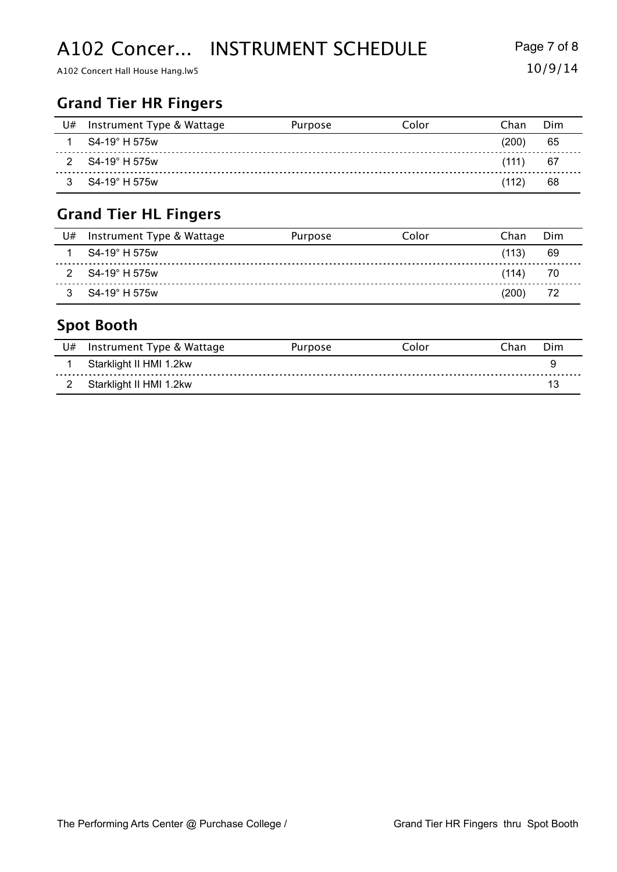## A102 Concer... INSTRUMENT SCHEDULE Page 7 of 8

A102 Concert Hall House Hang.lw5 10/9/14

### **Grand Tier HR Fingers**

| U# | Instrument Type & Wattage | Purpose | Color | Chan  | Dim |
|----|---------------------------|---------|-------|-------|-----|
|    | S4-19° H 575w             |         |       | (200) | 65  |
| 2  | S4-19° H 575w             |         |       | (111) | 67  |
|    | S4-19° H 575w             |         |       | (112) | 68  |

### **Grand Tier HL Fingers**

| U# | Instrument Type & Wattage | Purpose | Color | Chan  | Dim |
|----|---------------------------|---------|-------|-------|-----|
|    | S4-19° H 575w             |         |       | (113) | 69  |
|    | S4-19° H 575w             |         |       | (114) | 70  |
|    | S4-19° H 575w             |         |       | (200) | 72  |

### **Spot Booth**

| U# | Instrument Type & Wattage | Purpose | Color | ∩han | Dim |
|----|---------------------------|---------|-------|------|-----|
|    | Starklight II HMI 1.2kw   |         |       |      |     |
|    | Starklight II HMI 1.2kw   |         |       |      | 12  |